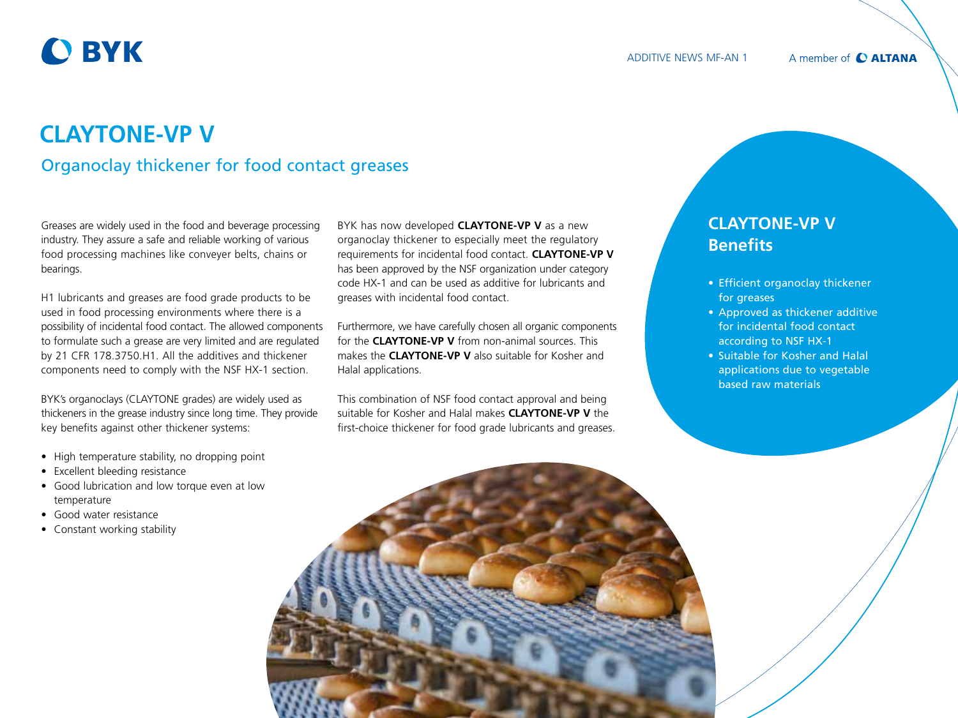# **O BYK**

#### A member of C ALTANA

## **CLAYTONE-VP V**  Organoclay thickener for food contact greases

Greases are widely used in the food and beverage processing industry. They assure a safe and reliable working of various food processing machines like conveyer belts, chains or bearings.

H1 lubricants and greases are food grade products to be used in food processing environments where there is a possibility of incidental food contact. The allowed components to formulate such a grease are very limited and are regulated by 21 CFR 178.3750.H1. All the additives and thickener components need to comply with the NSF HX-1 section.

BYK's organoclays (CLAYTONE grades) are widely used as thickeners in the grease industry since long time. They provide key benefits against other thickener systems:

- High temperature stability, no dropping point
- Excellent bleeding resistance
- Good lubrication and low torque even at low temperature
- Good water resistance
- Constant working stability

BYK has now developed **CLAYTONE-VP V** as a new organoclay thickener to especially meet the regulatory requirements for incidental food contact. **CLAYTONE-VP V**  has been approved by the NSF organization under category code HX-1 and can be used as additive for lubricants and greases with incidental food contact.

Furthermore, we have carefully chosen all organic components for the **CLAYTONE-VP V** from non-animal sources. This makes the **CLAYTONE-VP V** also suitable for Kosher and Halal applications.

This combination of NSF food contact approval and being suitable for Kosher and Halal makes **CLAYTONE-VP V** the first-choice thickener for food grade lubricants and greases.

### **CLAYTONE-VP V Benefits**

- Efficient organoclay thickener for greases
- Approved as thickener additive for incidental food contact according to NSF HX-1
- Suitable for Kosher and Halal applications due to vegetable based raw materials